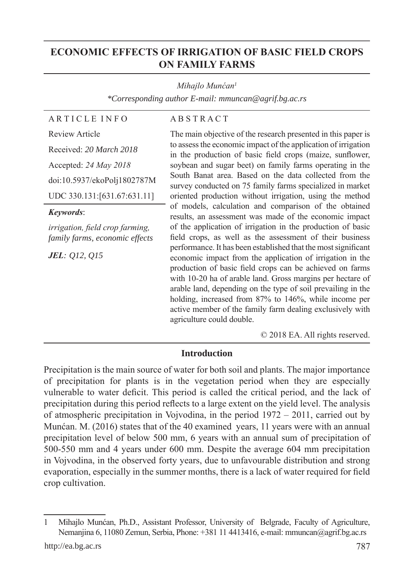# **ECONOMIC EFFECTS OF IRRIGATION OF BASIC FIELD CROPS ON FAMILY FARMS**

#### *Mihajlo Munćan<sup>1</sup>*

*\*Corresponding author E-mail: mmuncan@agrif.bg.ac.rs*

A R T I C L E I N F O

Review Article

#### A B S T R A C T

Received: *20 March 2018* Accepted: *24 May 2018* doi:10.5937/ekoPolj1802787M UDC 330.131:[631.67:631.11]

*Keywords*:

*irrigation, field crop farming, family farms, economic effects*

*JEL: Q12, Q15*

The main objective of the research presented in this paper is to assess the economic impact of the application of irrigation in the production of basic field crops (maize, sunflower, soybean and sugar beet) on family farms operating in the South Banat area. Based on the data collected from the survey conducted on 75 family farms specialized in market oriented production without irrigation, using the method of models, calculation and comparison of the obtained results, an assessment was made of the economic impact of the application of irrigation in the production of basic field crops, as well as the assessment of their business performance. It has been established that the most significant economic impact from the application of irrigation in the production of basic field crops can be achieved on farms with 10-20 ha of arable land. Gross margins per hectare of arable land, depending on the type of soil prevailing in the holding, increased from 87% to 146%, while income per active member of the family farm dealing exclusively with agriculture could double.

© 2018 EA. All rights reserved.

#### **Introduction**

Precipitation is the main source of water for both soil and plants. The major importance of precipitation for plants is in the vegetation period when they are especially vulnerable to water deficit. This period is called the critical period, and the lack of precipitation during this period reflects to a large extent on the yield level. The analysis of atmospheric precipitation in Vojvodina, in the period 1972 – 2011, carried out by Munćan. M. (2016) states that of the 40 examined years, 11 years were with an annual precipitation level of below 500 mm, 6 years with an annual sum of precipitation of 500-550 mm and 4 years under 600 mm. Despite the average 604 mm precipitation in Vojvodina, in the observed forty years, due to unfavourable distribution and strong evaporation, especially in the summer months, there is a lack of water required for field crop cultivation.

<sup>1</sup> Mihajlo Munćan, Ph.D., Assistant Professor, University of Belgrade, Faculty of Agriculture, Nemanjina 6, 11080 Zemun, Serbia, Phone: +381 11 4413416, e-mail: mmuncan@agrif.bg.ac.rs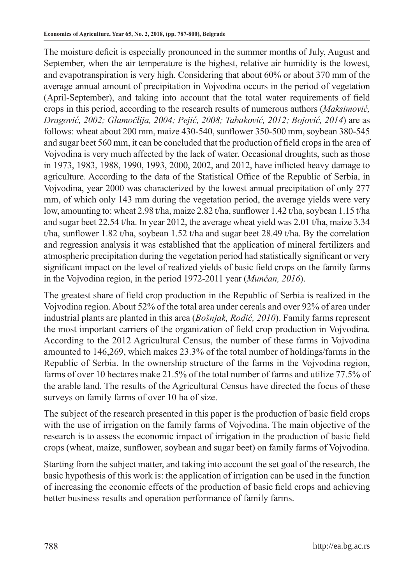The moisture deficit is especially pronounced in the summer months of July, August and September, when the air temperature is the highest, relative air humidity is the lowest, and evapotranspiration is very high. Considering that about 60% or about 370 mm of the average annual amount of precipitation in Vojvodina occurs in the period of vegetation (April-September), and taking into account that the total water requirements of field crops in this period, according to the research results of numerous authors (*Maksimović, Dragović, 2002; Glamočlija, 2004; Pejić, 2008; Tabaković, 2012; Bojović, 2014*) are as follows: wheat about 200 mm, maize 430-540, sunflower 350-500 mm, soybean 380-545 and sugar beet 560 mm, it can be concluded that the production of field crops in the area of Vojvodina is very much affected by the lack of water. Occasional droughts, such as those in 1973, 1983, 1988, 1990, 1993, 2000, 2002, and 2012, have inflicted heavy damage to agriculture. According to the data of the Statistical Office of the Republic of Serbia, in Vojvodina, year 2000 was characterized by the lowest annual precipitation of only 277 mm, of which only 143 mm during the vegetation period, the average yields were very low, amounting to: wheat 2.98 t/ha, maize 2.82 t/ha, sunflower 1.42 t/ha, soybean 1.15 t/ha and sugar beet 22.54 t/ha. In year 2012, the average wheat yield was 2.01 t/ha, maize 3.34 t/ha, sunflower 1.82 t/ha, soybean 1.52 t/ha and sugar beet 28.49 t/ha. By the correlation and regression analysis it was established that the application of mineral fertilizers and atmospheric precipitation during the vegetation period had statistically significant or very significant impact on the level of realized yields of basic field crops on the family farms in the Vojvodina region, in the period 1972-2011 year (*Munćan, 2016*).

The greatest share of field crop production in the Republic of Serbia is realized in the Vojvodina region. About 52% of the total area under cereals and over 92% of area under industrial plants are planted in this area (*Bošnjak, Rodić, 2010*). Family farms represent the most important carriers of the organization of field crop production in Vojvodina. According to the 2012 Agricultural Census, the number of these farms in Vojvodina amounted to 146,269, which makes 23.3% of the total number of holdings/farms in the Republic of Serbia. In the ownership structure of the farms in the Vojvodina region, farms of over 10 hectares make 21.5% of the total number of farms and utilize 77.5% of the arable land. The results of the Agricultural Census have directed the focus of these surveys on family farms of over 10 ha of size.

The subject of the research presented in this paper is the production of basic field crops with the use of irrigation on the family farms of Vojvodina. The main objective of the research is to assess the economic impact of irrigation in the production of basic field crops (wheat, maize, sunflower, soybean and sugar beet) on family farms of Vojvodina.

Starting from the subject matter, and taking into account the set goal of the research, the basic hypothesis of this work is: the application of irrigation can be used in the function of increasing the economic effects of the production of basic field crops and achieving better business results and operation performance of family farms.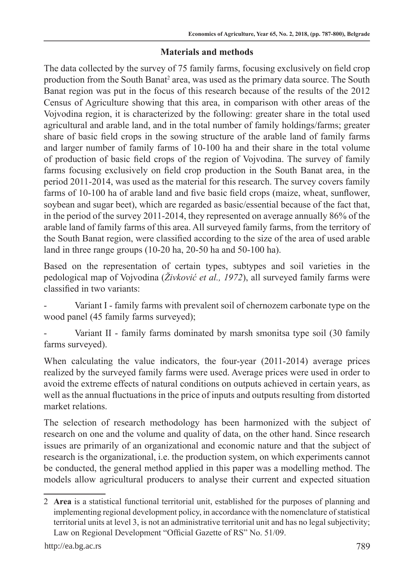## **Materials and methods**

The data collected by the survey of 75 family farms, focusing exclusively on field crop production from the South Banat<sup>2</sup> area, was used as the primary data source. The South Banat region was put in the focus of this research because of the results of the 2012 Census of Agriculture showing that this area, in comparison with other areas of the Vojvodina region, it is characterized by the following: greater share in the total used agricultural and arable land, and in the total number of family holdings/farms; greater share of basic field crops in the sowing structure of the arable land of family farms and larger number of family farms of 10-100 ha and their share in the total volume of production of basic field crops of the region of Vojvodina. The survey of family farms focusing exclusively on field crop production in the South Banat area, in the period 2011-2014, was used as the material for this research. The survey covers family farms of 10-100 ha of arable land and five basic field crops (maize, wheat, sunflower, soybean and sugar beet), which are regarded as basic/essential because of the fact that, in the period of the survey 2011-2014, they represented on average annually 86% of the arable land of family farms of this area. All surveyed family farms, from the territory of the South Banat region, were classified according to the size of the area of used arable land in three range groups (10-20 ha, 20-50 ha and 50-100 ha).

Based on the representation of certain types, subtypes and soil varieties in the pedological map of Vojvodina (*Živković et al., 1972*), all surveyed family farms were classified in two variants:

Variant I - family farms with prevalent soil of chernozem carbonate type on the wood panel (45 family farms surveyed);

Variant II - family farms dominated by marsh smonitsa type soil (30 family farms surveyed).

When calculating the value indicators, the four-year (2011-2014) average prices realized by the surveyed family farms were used. Average prices were used in order to avoid the extreme effects of natural conditions on outputs achieved in certain years, as well as the annual fluctuations in the price of inputs and outputs resulting from distorted market relations.

The selection of research methodology has been harmonized with the subject of research on one and the volume and quality of data, on the other hand. Since research issues are primarily of an organizational and economic nature and that the subject of research is the organizational, i.e. the production system, on which experiments cannot be conducted, the general method applied in this paper was a modelling method. The models allow agricultural producers to analyse their current and expected situation

<sup>2</sup> **Area** is a statistical functional territorial unit, established for the purposes of planning and implementing regional development policy, in accordance with the nomenclature of statistical territorial units at level 3, is not an administrative territorial unit and has no legal subjectivity; Law on Regional Development "Official Gazette of RS" No. 51/09.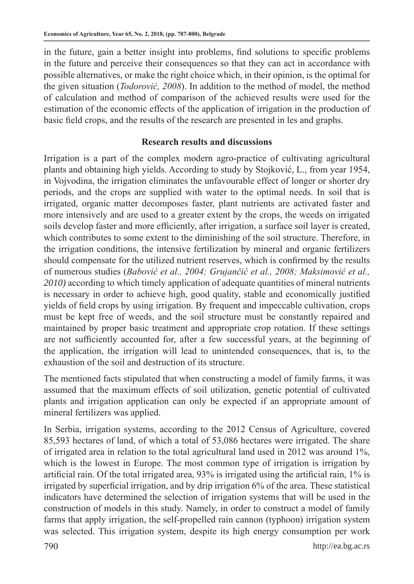in the future, gain a better insight into problems, find solutions to specific problems in the future and perceive their consequences so that they can act in accordance with possible alternatives, or make the right choice which, in their opinion, is the optimal for the given situation (*Todorović, 2008*). In addition to the method of model, the method of calculation and method of comparison of the achieved results were used for the estimation of the economic effects of the application of irrigation in the production of basic field crops, and the results of the research are presented in les and graphs.

### **Research results and discussions**

Irrigation is a part of the complex modern agro-practice of cultivating agricultural plants and obtaining high yields. According to study by Stojković, L., from year 1954, in Vojvodina, the irrigation eliminates the unfavourable effect of longer or shorter dry periods, and the crops are supplied with water to the optimal needs. In soil that is irrigated, organic matter decomposes faster, plant nutrients are activated faster and more intensively and are used to a greater extent by the crops, the weeds on irrigated soils develop faster and more efficiently, after irrigation, a surface soil layer is created, which contributes to some extent to the diminishing of the soil structure. Therefore, in the irrigation conditions, the intensive fertilization by mineral and organic fertilizers should compensate for the utilized nutrient reserves, which is confirmed by the results of numerous studies (*Babović et al., 2004; Grujančić et al., 2008; Maksimović et al., 2010)* according to which timely application of adequate quantities of mineral nutrients is necessary in order to achieve high, good quality, stable and economically justified yields of field crops by using irrigation. By frequent and impeccable cultivation, crops must be kept free of weeds, and the soil structure must be constantly repaired and maintained by proper basic treatment and appropriate crop rotation. If these settings are not sufficiently accounted for, after a few successful years, at the beginning of the application, the irrigation will lead to unintended consequences, that is, to the exhaustion of the soil and destruction of its structure.

The mentioned facts stipulated that when constructing a model of family farms, it was assumed that the maximum effects of soil utilization, genetic potential of cultivated plants and irrigation application can only be expected if an appropriate amount of mineral fertilizers was applied.

In Serbia, irrigation systems, according to the 2012 Census of Agriculture, covered 85,593 hectares of land, of which a total of 53,086 hectares were irrigated. The share of irrigated area in relation to the total agricultural land used in 2012 was around 1%, which is the lowest in Europe. The most common type of irrigation is irrigation by artificial rain. Of the total irrigated area, 93% is irrigated using the artificial rain, 1% is irrigated by superficial irrigation, and by drip irrigation 6% of the area. These statistical indicators have determined the selection of irrigation systems that will be used in the construction of models in this study. Namely, in order to construct a model of family farms that apply irrigation, the self-propelled rain cannon (typhoon) irrigation system was selected. This irrigation system, despite its high energy consumption per work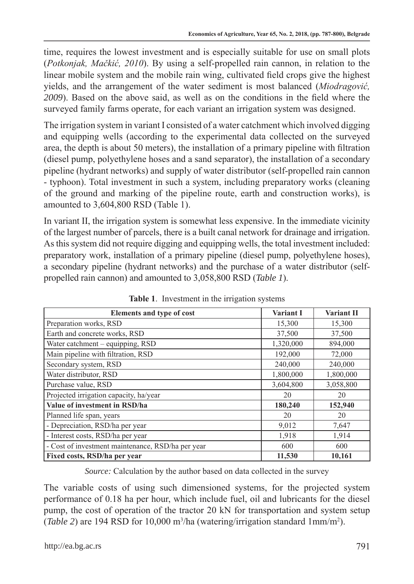time, requires the lowest investment and is especially suitable for use on small plots (*Potkonjak, Mačkić, 2010*). By using a self-propelled rain cannon, in relation to the linear mobile system and the mobile rain wing, cultivated field crops give the highest yields, and the arrangement of the water sediment is most balanced (*Miodragović, 2009*). Based on the above said, as well as on the conditions in the field where the surveyed family farms operate, for each variant an irrigation system was designed.

The irrigation system in variant I consisted of a water catchment which involved digging and equipping wells (according to the experimental data collected on the surveyed area, the depth is about 50 meters), the installation of a primary pipeline with filtration (diesel pump, polyethylene hoses and a sand separator), the installation of a secondary pipeline (hydrant networks) and supply of water distributor (self-propelled rain cannon - typhoon). Total investment in such a system, including preparatory works (cleaning of the ground and marking of the pipeline route, earth and construction works), is amounted to 3,604,800 RSD (Table 1).

In variant II, the irrigation system is somewhat less expensive. In the immediate vicinity of the largest number of parcels, there is a built canal network for drainage and irrigation. As this system did not require digging and equipping wells, the total investment included: preparatory work, installation of a primary pipeline (diesel pump, polyethylene hoses), a secondary pipeline (hydrant networks) and the purchase of a water distributor (selfpropelled rain cannon) and amounted to 3,058,800 RSD (*Table 1*).

| Elements and type of cost                         | <b>Variant I</b> | <b>Variant II</b> |
|---------------------------------------------------|------------------|-------------------|
| Preparation works, RSD                            | 15,300           | 15,300            |
| Earth and concrete works, RSD                     | 37,500           | 37,500            |
| Water catchment – equipping, RSD                  | 1,320,000        | 894,000           |
| Main pipeline with filtration, RSD                | 192,000          | 72,000            |
| Secondary system, RSD                             | 240,000          | 240,000           |
| Water distributor, RSD                            | 1,800,000        | 1,800,000         |
| Purchase value, RSD                               | 3,604,800        | 3,058,800         |
| Projected irrigation capacity, ha/year            | 20               | 20                |
| Value of investment in RSD/ha                     | 180,240          | 152,940           |
| Planned life span, years                          | 20               | 20                |
| - Depreciation, RSD/ha per year                   | 9,012            | 7,647             |
| - Interest costs, RSD/ha per year                 | 1,918            | 1,914             |
| - Cost of investment maintenance, RSD/ha per year | 600              | 600               |
| Fixed costs, RSD/ha per year                      | 11,530           | 10,161            |

**Table 1**. Investment in the irrigation systems

*Source:* Calculation by the author based on data collected in the survey

The variable costs of using such dimensioned systems, for the projected system performance of 0.18 ha per hour, which include fuel, oil and lubricants for the diesel pump, the cost of operation of the tractor 20 kN for transportation and system setup (*Table 2*) are 194 RSD for 10,000 m3 /ha (watering/irrigation standard 1mm/m2 ).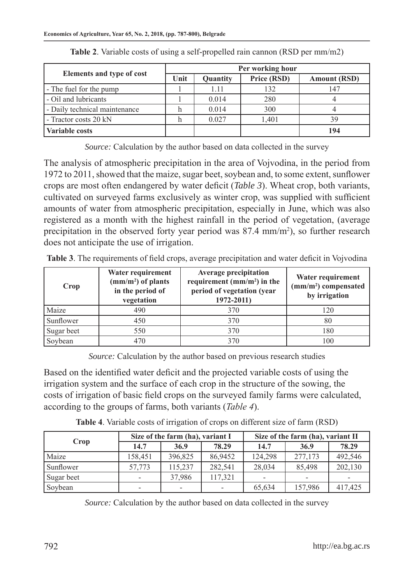|                               | Per working hour |          |             |                     |  |  |  |
|-------------------------------|------------------|----------|-------------|---------------------|--|--|--|
| Elements and type of cost     | Unit             | Quantity | Price (RSD) | <b>Amount (RSD)</b> |  |  |  |
| - The fuel for the pump       |                  | 1.11     | 132         | 147                 |  |  |  |
| - Oil and lubricants          |                  | 0.014    | 280         |                     |  |  |  |
| - Daily technical maintenance |                  | 0.014    | 300         |                     |  |  |  |
| - Tractor costs 20 kN         |                  | 0.027    | 1,401       | 39                  |  |  |  |
| <b>Variable costs</b>         |                  |          |             | 194                 |  |  |  |

**Table 2**. Variable costs of using a self-propelled rain cannon (RSD per mm/m2)

*Source:* Calculation by the author based on data collected in the survey

The analysis of atmospheric precipitation in the area of Vojvodina, in the period from 1972 to 2011, showed that the maize, sugar beet, soybean and, to some extent, sunflower crops are most often endangered by water deficit (*Table 3*). Wheat crop, both variants, cultivated on surveyed farms exclusively as winter crop, was supplied with sufficient amounts of water from atmospheric precipitation, especially in June, which was also registered as a month with the highest rainfall in the period of vegetation, (average precipitation in the observed forty year period was  $87.4 \text{ mm/m}^2$ ), so further research does not anticipate the use of irrigation.

| <b>Table 3.</b> The requirements of field crops, average precipitation and water deficit in Vojvodina |                          |                              |                   |  |  |  |  |  |
|-------------------------------------------------------------------------------------------------------|--------------------------|------------------------------|-------------------|--|--|--|--|--|
|                                                                                                       | Water requirement        | <b>Average precipitation</b> | Water requirement |  |  |  |  |  |
|                                                                                                       | $\rm (mm/m^2)$ of plants | requirement $(mm/m2)$ in the | $\sqrt{1 + 2}$    |  |  |  |  |  |

| Crop       | Water requirement<br>$\text{(mm/m}^2)$ of plants<br>in the period of<br>vegetation | <b>Average precipitation</b><br>requirement $(mm/m2)$ in the<br>period of vegetation (year<br>1972-2011) | Water requirement<br>$(mm/m2)$ compensated<br>by irrigation |  |
|------------|------------------------------------------------------------------------------------|----------------------------------------------------------------------------------------------------------|-------------------------------------------------------------|--|
| Maize      | 490                                                                                | 370                                                                                                      | 120                                                         |  |
| Sunflower  | 450                                                                                | 370                                                                                                      | 80                                                          |  |
| Sugar beet | 550                                                                                | 370                                                                                                      | 180                                                         |  |
| Soybean    | 470                                                                                | 370                                                                                                      | 100                                                         |  |

*Source:* Calculation by the author based on previous research studies

Based on the identified water deficit and the projected variable costs of using the irrigation system and the surface of each crop in the structure of the sowing, the costs of irrigation of basic field crops on the surveyed family farms were calculated, according to the groups of farms, both variants (*Table 4*).

**Table 4**. Variable costs of irrigation of crops on different size of farm (RSD)

| Crop       |         | Size of the farm (ha), variant I |         | Size of the farm (ha), variant II |                          |         |  |
|------------|---------|----------------------------------|---------|-----------------------------------|--------------------------|---------|--|
|            | 14.7    | 36.9                             | 78.29   | 14.7                              | 36.9                     | 78.29   |  |
| Maize      | 158.451 | 396.825                          | 86.9452 | 124.298                           | 277,173                  | 492,546 |  |
| Sunflower  | 57.773  | 115.237                          | 282.541 | 28.034                            | 85.498                   | 202,130 |  |
| Sugar beet |         | 37,986                           | 117,321 |                                   | $\overline{\phantom{0}}$ |         |  |
| Soybean    |         |                                  |         | 65,634                            | 157,986                  | 417,425 |  |

*Source:* Calculation by the author based on data collected in the survey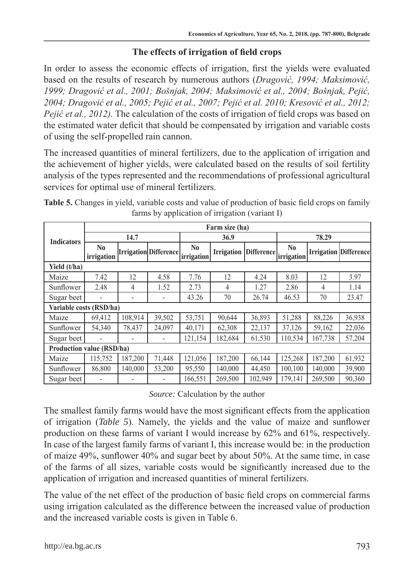## **The effects of irrigation of field crops**

In order to assess the economic effects of irrigation, first the yields were evaluated based on the results of research by numerous authors (*Dragović, 1994; Maksimović, 1999; Dragović et al., 2001; Bošnjak, 2004; Maksimović et al., 2004; Bošnjak, Pejić, 2004; Dragović et al., 2005; Pejić et al., 2007; Pejić et al. 2010; Kresović et al., 2012; Pejić et al., 2012).* The calculation of the costs of irrigation of field crops was based on the estimated water deficit that should be compensated by irrigation and variable costs of using the self-propelled rain cannon.

The increased quantities of mineral fertilizers, due to the application of irrigation and the achievement of higher yields, were calculated based on the results of soil fertility analysis of the types represented and the recommendations of professional agricultural services for optimal use of mineral fertilizers.

|                                  | Farm size (ha)               |                          |                              |                              |                   |            |                              |         |                              |  |
|----------------------------------|------------------------------|--------------------------|------------------------------|------------------------------|-------------------|------------|------------------------------|---------|------------------------------|--|
| <b>Indicators</b>                |                              | 14.7                     |                              |                              | 36.9              |            |                              | 78.29   |                              |  |
|                                  | N <sub>0</sub><br>irrigation |                          | <b>Irrigation</b> Difference | N <sub>0</sub><br>irrigation | <b>Irrigation</b> | Difference | N <sub>0</sub><br>irrigation |         | <b>Irrigation Difference</b> |  |
| Yield (t/ha)                     |                              |                          |                              |                              |                   |            |                              |         |                              |  |
| Maize                            | 7.42                         | 12                       | 4.58                         | 7.76                         | 12                | 4.24       | 8.03                         | 12      | 3.97                         |  |
| Sunflower                        | 2.48                         | 4                        | 1.52                         | 2.73                         | 4                 | 1.27       | 2.86                         | 4       | 1.14                         |  |
| Sugar beet                       |                              | $\overline{\phantom{a}}$ | $\overline{a}$               | 43.26                        | 70                | 26.74      | 46.53                        | 70      | 23.47                        |  |
| Variable costs (RSD/ha)          |                              |                          |                              |                              |                   |            |                              |         |                              |  |
| Maize                            | 69,412                       | 108,914                  | 39,502                       | 53,751                       | 90,644            | 36,893     | 51,288                       | 88,226  | 36,938                       |  |
| Sunflower                        | 54.340                       | 78,437                   | 24,097                       | 40,171                       | 62,308            | 22,137     | 37,126                       | 59,162  | 22,036                       |  |
| Sugar beet                       | $\blacksquare$               | $\overline{\phantom{a}}$ | $\qquad \qquad \blacksquare$ | 121,154                      | 182,684           | 61,530     | 110,534                      | 167,738 | 57,204                       |  |
| <b>Production value (RSD/ha)</b> |                              |                          |                              |                              |                   |            |                              |         |                              |  |
| Maize                            | 115,752                      | 187,200                  | 71,448                       | 121,056                      | 187,200           | 66,144     | 125,268                      | 187,200 | 61,932                       |  |
| Sunflower                        | 86,800                       | 140.000                  | 53,200                       | 95,550                       | 140,000           | 44,450     | 100,100                      | 140,000 | 39,900                       |  |
| Sugar beet                       | ۰                            |                          | -                            | 166,551                      | 269.500           | 102.949    | 179.141                      | 269,500 | 90,360                       |  |

**Table 5.** Changes in yield, variable costs and value of production of basic field crops on family farms by application of irrigation (variant I)

*Source:* Calculation by the author

The smallest family farms would have the most significant effects from the application of irrigation (*Table 5*). Namely, the yields and the value of maize and sunflower production on these farms of variant I would increase by 62% and 61%, respectively. In case of the largest family farms of variant I, this increase would be: in the production of maize 49%, sunflower 40% and sugar beet by about 50%. At the same time, in case of the farms of all sizes, variable costs would be significantly increased due to the application of irrigation and increased quantities of mineral fertilizers.

The value of the net effect of the production of basic field crops on commercial farms using irrigation calculated as the difference between the increased value of production and the increased variable costs is given in Table 6.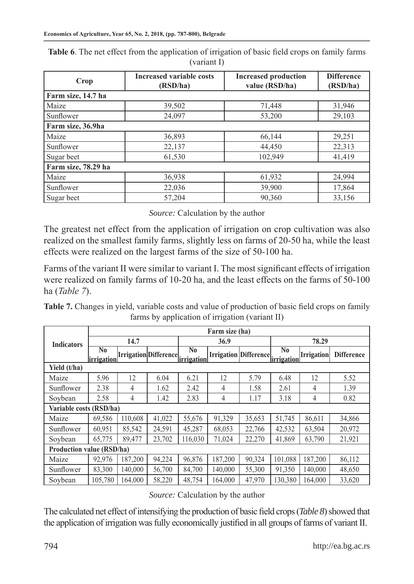| Crop                | <b>Increased variable costs</b><br>(RSD/ha) | <b>Increased production</b><br>value (RSD/ha) | <b>Difference</b><br>(RSD/ha) |  |
|---------------------|---------------------------------------------|-----------------------------------------------|-------------------------------|--|
| Farm size, 14.7 ha  |                                             |                                               |                               |  |
| Maize               | 39,502                                      | 71,448                                        | 31,946                        |  |
| Sunflower           | 24,097                                      | 53,200                                        | 29,103                        |  |
| Farm size, 36.9ha   |                                             |                                               |                               |  |
| Maize               | 36,893                                      | 66,144                                        | 29,251                        |  |
| Sunflower           | 22,137                                      | 44,450                                        | 22,313                        |  |
| Sugar beet          | 61,530                                      | 102,949                                       | 41,419                        |  |
| Farm size, 78.29 ha |                                             |                                               |                               |  |
| Maize               | 36,938                                      | 61,932                                        | 24,994                        |  |
| Sunflower           | 22,036                                      | 39,900                                        | 17,864                        |  |
| Sugar beet          | 57,204                                      | 90,360                                        | 33,156                        |  |

**Table 6**. The net effect from the application of irrigation of basic field crops on family farms (variant I)

*Source:* Calculation by the author

The greatest net effect from the application of irrigation on crop cultivation was also realized on the smallest family farms, slightly less on farms of 20-50 ha, while the least effects were realized on the largest farms of the size of 50-100 ha.

Farms of the variant II were similar to variant I. The most significant effects of irrigation were realized on family farms of 10-20 ha, and the least effects on the farms of 50-100 ha (*Table 7*).

**Table 7.** Changes in yield, variable costs and value of production of basic field crops on family farms by application of irrigation (variant II)

|                         | Farm size (ha)                              |         |                        |                              |         |                                  |                        |                   |                   |  |
|-------------------------|---------------------------------------------|---------|------------------------|------------------------------|---------|----------------------------------|------------------------|-------------------|-------------------|--|
| <b>Indicators</b>       |                                             | 14.7    |                        |                              | 36.9    |                                  |                        | 78.29             |                   |  |
|                         | $\overline{\text{No}}$<br><i>irrigation</i> |         | Irrigation Difference. | N <sub>0</sub><br>irrigation |         | Irrigation Difference irrigation | $\overline{\text{No}}$ | <b>Irrigation</b> | <b>Difference</b> |  |
| Yield (t/ha)            |                                             |         |                        |                              |         |                                  |                        |                   |                   |  |
| Maize                   | 5.96                                        | 12      | 6.04                   | 6.21                         | 12      | 5.79                             | 6.48                   | 12                | 5.52              |  |
| Sunflower               | 2.38                                        | 4       | 1.62                   | 2.42                         | 4       | 1.58                             | 2.61                   | 4                 | 1.39              |  |
| Soybean                 | 2.58                                        | 4       | 1.42                   | 2.83                         | 4       | 1.17                             | 3.18                   | 4                 | 0.82              |  |
| Variable costs (RSD/ha) |                                             |         |                        |                              |         |                                  |                        |                   |                   |  |
| Maize                   | 69,586                                      | 110,608 | 41,022                 | 55,676                       | 91,329  | 35,653                           | 51,745                 | 86,611            | 34,866            |  |
| Sunflower               | 60.951                                      | 85,542  | 24,591                 | 45,287                       | 68,053  | 22,766                           | 42,532                 | 63,504            | 20,972            |  |
| Soybean                 | 65,775                                      | 89,477  | 23,702                 | 116,030                      | 71,024  | 22,270                           | 41,869                 | 63,790            | 21,921            |  |
|                         | <b>Production value (RSD/ha)</b>            |         |                        |                              |         |                                  |                        |                   |                   |  |
| Maize                   | 92.976                                      | 187,200 | 94,224                 | 96.876                       | 187,200 | 90,324                           | 101.088                | 187,200           | 86,112            |  |
| Sunflower               | 83,300                                      | 140,000 | 56,700                 | 84,700                       | 140,000 | 55,300                           | 91,350                 | 140,000           | 48,650            |  |
| Soybean                 | 105,780                                     | 164.000 | 58,220                 | 48,754                       | 164,000 | 47,970                           | 130,380                | 164,000           | 33,620            |  |

*Source:* Calculation by the author

The calculated net effect of intensifying the production of basic field crops (*Table 8*) showed that the application of irrigation was fully economically justified in all groups of farms of variant II.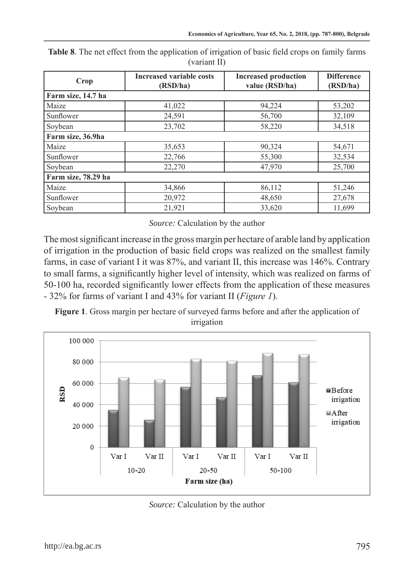| Crop                | <b>Increased variable costs</b><br>(RSD/ha) | <b>Increased production</b><br>value (RSD/ha) | <b>Difference</b><br>(RSD/ha) |  |  |  |  |  |  |
|---------------------|---------------------------------------------|-----------------------------------------------|-------------------------------|--|--|--|--|--|--|
| Farm size, 14.7 ha  |                                             |                                               |                               |  |  |  |  |  |  |
| Maize               | 41,022                                      | 94,224                                        | 53,202                        |  |  |  |  |  |  |
| Sunflower           | 24,591                                      | 56,700                                        | 32,109                        |  |  |  |  |  |  |
| Soybean             | 23,702                                      | 58,220                                        | 34,518                        |  |  |  |  |  |  |
| Farm size, 36.9ha   |                                             |                                               |                               |  |  |  |  |  |  |
| Maize               | 35,653                                      | 90,324                                        | 54,671                        |  |  |  |  |  |  |
| Sunflower           | 22,766                                      | 55,300                                        | 32,534                        |  |  |  |  |  |  |
| Soybean             | 22,270                                      | 47,970                                        | 25,700                        |  |  |  |  |  |  |
| Farm size, 78.29 ha |                                             |                                               |                               |  |  |  |  |  |  |
| Maize               | 34,866                                      | 86,112                                        | 51,246                        |  |  |  |  |  |  |
| Sunflower           | 20,972                                      | 48,650                                        | 27,678                        |  |  |  |  |  |  |
| Soybean             | 21,921                                      | 33,620                                        | 11,699                        |  |  |  |  |  |  |

**Table 8**. The net effect from the application of irrigation of basic field crops on family farms (variant II)

*Source:* Calculation by the author

The most significant increase in the gross margin per hectare of arable land by application of irrigation in the production of basic field crops was realized on the smallest family farms, in case of variant I it was 87%, and variant II, this increase was 146%. Contrary to small farms, a significantly higher level of intensity, which was realized on farms of 50-100 ha, recorded significantly lower effects from the application of these measures - 32% for farms of variant I and 43% for variant II (*Figure 1*).

**Figure 1**. Gross margin per hectare of surveyed farms before and after the application of irrigation



*Source:* Calculation by the author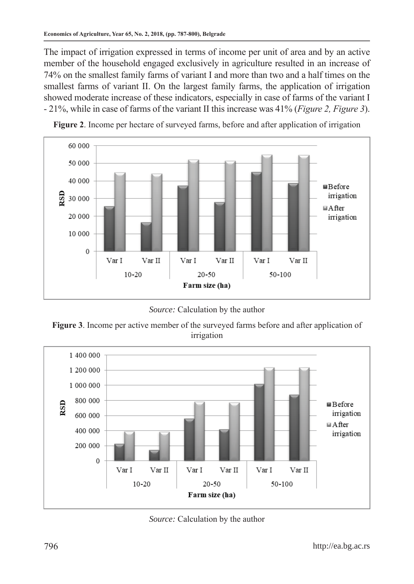The impact of irrigation expressed in terms of income per unit of area and by an active member of the household engaged exclusively in agriculture resulted in an increase of 74% on the smallest family farms of variant I and more than two and a half times on the smallest farms of variant II. On the largest family farms, the application of irrigation showed moderate increase of these indicators, especially in case of farms of the variant I - 21%, while in case of farms of the variant II this increase was 41% (*Figure 2, Figure 3*).



**Figure 2**. Income per hectare of surveyed farms, before and after application of irrigation

*Source:* Calculation by the author

**Figure 3**. Income per active member of the surveyed farms before and after application of irrigation



*Source:* Calculation by the author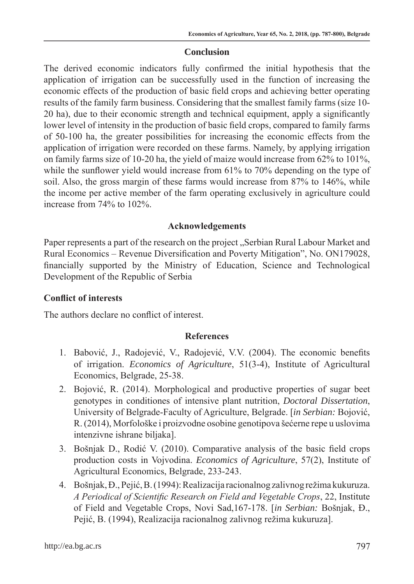### **Conclusion**

The derived economic indicators fully confirmed the initial hypothesis that the application of irrigation can be successfully used in the function of increasing the economic effects of the production of basic field crops and achieving better operating results of the family farm business. Considering that the smallest family farms (size 10- 20 ha), due to their economic strength and technical equipment, apply a significantly lower level of intensity in the production of basic field crops, compared to family farms of 50-100 ha, the greater possibilities for increasing the economic effects from the application of irrigation were recorded on these farms. Namely, by applying irrigation on family farms size of 10-20 ha, the yield of maize would increase from 62% to 101%, while the sunflower yield would increase from 61% to 70% depending on the type of soil. Also, the gross margin of these farms would increase from 87% to 146%, while the income per active member of the farm operating exclusively in agriculture could increase from 74% to 102%.

## **Acknowledgements**

Paper represents a part of the research on the project "Serbian Rural Labour Market and Rural Economics – Revenue Diversification and Poverty Mitigation", No. ON179028, financially supported by the Ministry of Education, Science and Technological Development of the Republic of Serbia

## **Conflict of interests**

The authors declare no conflict of interest.

### **References**

- 1. Babović, J., Radojević, V., Radojević, V.V. (2004). The economic benefits of irrigation. *Economics of Agriculture*, 51(3-4), Institute of Agricultural Economics, Belgrade, 25-38.
- 2. Bojović, R. (2014). Morphological and productive properties of sugar beet genotypes in conditiones of intensive plant nutrition, *Doctoral Dissertation*, University of Belgrade-Faculty of Agriculture, Belgrade. [*in Serbian:* Bojović, R. (2014), Morfološke i proizvodne osobine genotipova šećerne repe u uslovima intenzivne ishrane biljaka].
- 3. Bošnjak D., Rodić V. (2010). Comparative analysis of the basic field crops production costs in Vojvodina. *Economics of Agriculture*, 57(2), Institute of Agricultural Economics, Belgrade, 233-243.
- 4. Bošnjak, Đ., Pejić, B. (1994): Realizacija racionalnog zalivnog režima kukuruza. *A Periodical of Scientific Research on Field and Vegetable Crops*, 22, Institute of Field and Vegetable Crops, Novi Sad,167-178. [*in Serbian:* Bošnjak, Đ., Pejić, B. (1994), Realizacija racionalnog zalivnog režima kukuruza].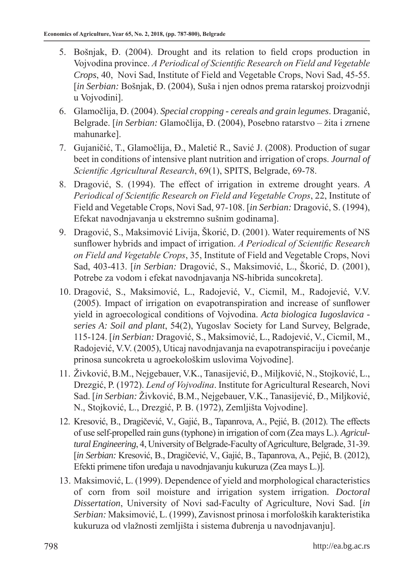- 5. Bošnjak, Đ. (2004). Drought and its relation to field crops production in Vojvodina province. *A Periodical of Scientific Research on Field and Vegetable Crops*, 40, Novi Sad, Institute of Field and Vegetable Crops, Novi Sad, 45-55. [*in Serbian:* Bošnjak, Đ. (2004), Suša i njen odnos prema ratarskoj proizvodnji u Vojvodini].
- 6. Glamočlija, Đ. (2004). *Special cropping cereals and grain legumes*. Draganić, Belgrade. [*in Serbian:* Glamočlija, Đ. (2004), Posebno ratarstvo – žita i zrnene mahunarke].
- 7. Gujaničić, T., Glamočlija, Đ., Maletić R., Savić J. (2008). Production of sugar beet in conditions of intensive plant nutrition and irrigation of crops. *Journal of Scientific Agricultural Research*, 69(1), SPITS, Belgrade, 69-78.
- 8. Dragović, S. (1994). The effect of irrigation in extreme drought years. *A Periodical of Scientific Research on Field and Vegetable Crops*, 22, Institute of Field and Vegetable Crops, Novi Sad, 97-108. [*in Serbian:* Dragović, S. (1994), Efekat navodnjavanja u ekstremno sušnim godinama].
- 9. Dragović, S., Maksimović Livija, Škorić, D. (2001). Water requirements of NS sunflower hybrids and impact of irrigation. *A Periodical of Scientific Research on Field and Vegetable Crops*, 35, Institute of Field and Vegetable Crops, Novi Sad, 403-413. [*in Serbian:* Dragović, S., Maksimović, L., Škorić, D. (2001), Potrebe za vodom i efekat navodnjavanja NS-hibrida suncokreta].
- 10. Dragović, S., Maksimović, L., Radojević, V., Cicmil, M., Radojević, V.V. (2005). Impact of irrigation on evapotranspiration and increase of sunflower yield in agroecological conditions of Vojvodina. *Acta biologica Iugoslavica series A: Soil and plant*, 54(2), Yugoslav Society for Land Survey, Belgrade, 115-124. [*in Serbian:* Dragović, S., Maksimović, L., Radojević, V., Cicmil, M., Radojević, V.V. (2005), Uticaj navodnjavanja na evapotranspiraciju i povećanje prinosa suncokreta u agroekološkim uslovima Vojvodine].
- 11. Živković, B.M., Nejgebauer, V.K., Tanasijević, Đ., Miljković, N., Stojković, L., Drezgić, P. (1972). *Lend of Vojvodina*. Institute for Agricultural Research, Novi Sad. [*in Serbian:* Živković, B.M., Nejgebauer, V.K., Tanasijević, Đ., Miljković, N., Stojković, L., Drezgić, P. B. (1972), Zemljišta Vojvodine].
- 12. Kresović, B., Dragičević, V., Gajić, B., Tapanrova, A., Pejić, B. (2012). The effects of use self-propelled rain guns (typhone) in irrigation of corn (Zea mays L.). *Agricultural Engineering*, 4, University of Belgrade-Faculty of Agriculture, Belgrade, 31-39. [*in Serbian:* Kresović, B., Dragičević, V., Gajić, B., Tapanrova, A., Pejić, B. (2012), Efekti primene tifon uređaja u navodnjavanju kukuruza (Zea mays L.)].
- 13. Maksimović, L. (1999). Dependence of yield and morphological characteristics of corn from soil moisture and irrigation system irrigation. *Doctoral Dissertation*, University of Novi sad-Faculty of Agriculture, Novi Sad. [*in Serbian:* Maksimović, L. (1999), Zavisnost prinosa i morfoloških karakteristika kukuruza od vlažnosti zemljišta i sistema đubrenja u navodnjavanju].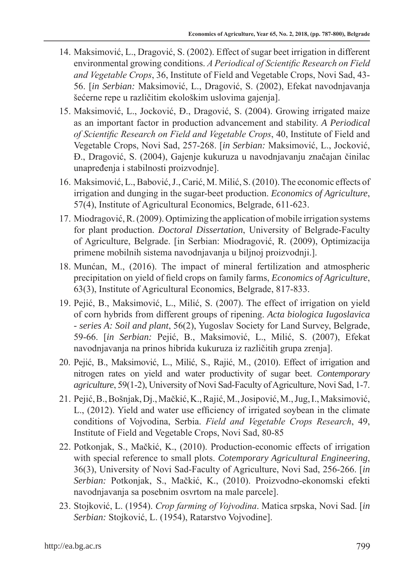- 14. Maksimović, L., Dragović, S. (2002). Effect of sugar beet irrigation in different environmental growing conditions. *A Periodical of Scientific Research on Field and Vegetable Crops*, 36, Institute of Field and Vegetable Crops, Novi Sad, 43- 56. [*in Serbian:* Maksimović, L., Dragović, S. (2002), Efekat navodnjavanja šećerne repe u različitim ekološkim uslovima gajenja].
- 15. Maksimović, L., Jocković, Đ., Dragović, S. (2004). Growing irrigated maize as an important factor in production advancement and stability. *A Periodical of Scientific Research on Field and Vegetable Crops*, 40, Institute of Field and Vegetable Crops, Novi Sad, 257-268. [*in Serbian:* Maksimović, L., Jocković, Đ., Dragović, S. (2004), Gajenje kukuruza u navodnjavanju značajan činilac unapređenja i stabilnosti proizvodnje].
- 16. Maksimović, L., Babović, J., Carić, M. Milić, S. (2010). The economic effects of irrigation and dunging in the sugar-beet production. *Economics of Agriculture*, 57(4), Institute of Agricultural Economics, Belgrade, 611-623.
- 17. Miodragović, R. (2009). Optimizing the application of mobile irrigation systems for plant production. *Doctoral Dissertation*, University of Belgrade-Faculty of Agriculture, Belgrade. [in Serbian: Miodragović, R. (2009), Optimizacija primene mobilnih sistema navodnjavanja u biljnoj proizvodnji.].
- 18. Munćan, M., (2016). The impact of mineral fertilization and atmospheric precipitation on yield of field crops on family farms, *Economics of Agriculture*, 63(3), Institute of Agricultural Economics, Belgrade, 817-833.
- 19. Pejić, B., Maksimović, L., Milić, S. (2007). The effect of irrigation on yield of corn hybrids from different groups of ripening. *Acta biologica Iugoslavica - series A: Soil and plant*, 56(2), Yugoslav Society for Land Survey, Belgrade, 59-66. [*in Serbian:* Pejić, B., Maksimović, L., Milić, S. (2007), Efekat navodnjavanja na prinos hibrida kukuruza iz različitih grupa zrenja].
- 20. Pejić, B., Maksimović, L., Milić, S., Rajić, M., (2010). Effect of irrigation and nitrogen rates on yield and water productivity of sugar beet. *Contemporary agriculture*, 59(1-2), University of Novi Sad-Faculty of Agriculture, Novi Sad, 1-7.
- 21. Pejić, B., Bošnjak, Dj., Mačkić, K., Rajić, M., Josipović, M., Jug, I., Maksimović, L., (2012). Yield and water use efficiency of irrigated soybean in the climate conditions of Vojvodina, Serbia. *Field and Vegetable Crops Research*, 49, Institute of Field and Vegetable Crops, Novi Sad, 80-85
- 22. Potkonjak, S., Mačkić, K., (2010). Production-economic effects of irrigation with special reference to small plots. *Cotemporary Agricultural Engineering*, 36(3), University of Novi Sad-Faculty of Agriculture, Novi Sad, 256-266. [*in Serbian:* Potkonjak, S., Mačkić, K., (2010). Proizvodno-ekonomski efekti navodnjavanja sa posebnim osvrtom na male parcele].
- 23. Stojković, L. (1954). *Crop farming of Vojvodina*. Matica srpska, Novi Sad. [*in Serbian:* Stojković, L. (1954), Ratarstvo Vojvodine].